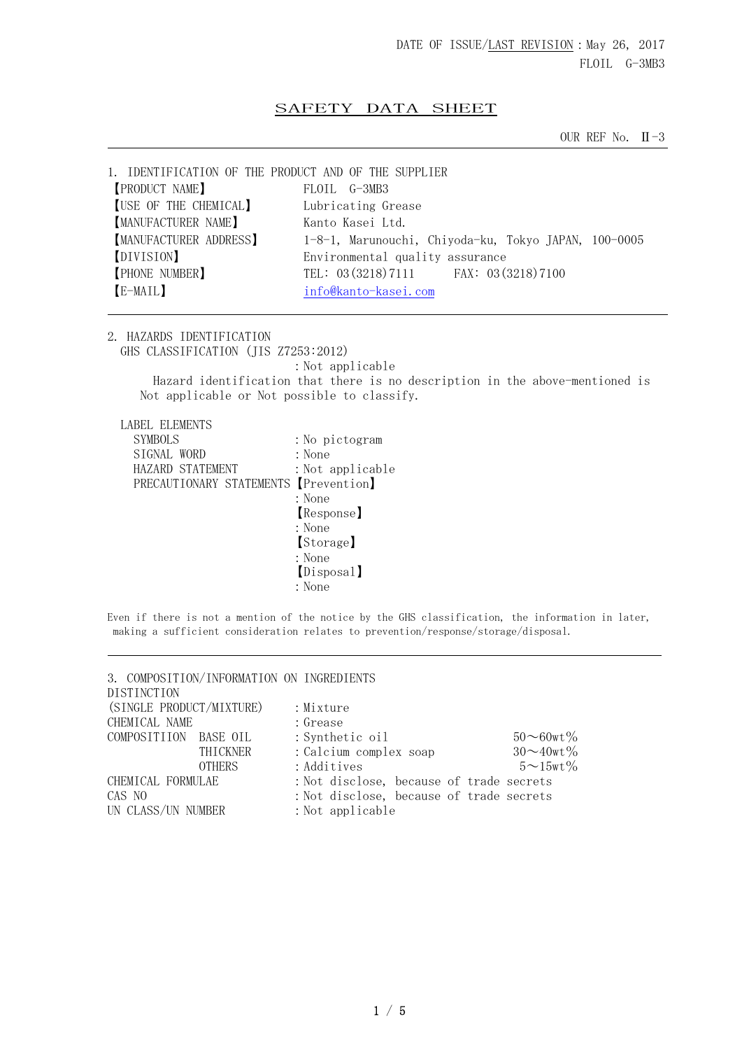## SAFETY DATA SHEET

OUR REF No.  $II - 3$ 

| 1. IDENTIFICATION OF THE PRODUCT AND OF THE SUPPLIER |                                                      |
|------------------------------------------------------|------------------------------------------------------|
| <b>[PRODUCT NAME]</b>                                | FLOIL G-3MB3                                         |
| [USE OF THE CHEMICAL]                                | Lubricating Grease                                   |
| [MANUFACTURER NAME]                                  | Kanto Kasei Ltd.                                     |
| <b>[MANUFACTURER ADDRESS]</b>                        | 1-8-1, Marunouchi, Chiyoda-ku, Tokyo JAPAN, 100-0005 |
| [DIVISION]                                           | Environmental quality assurance                      |
| <b>[PHONE NUMBER]</b>                                | TEL: 03 (3218) 7111 FAX: 03 (3218) 7100              |
| [E-MAIL]                                             | info@kanto-kasei.com                                 |
|                                                      |                                                      |

2. HAZARDS IDENTIFICATION

GHS CLASSIFICATION (JIS Z7253:2012)

:Not applicable

 Hazard identification that there is no description in the above-mentioned is Not applicable or Not possible to classify.

LABEL ELEMENTS

| SYMBOLS                               | : No pictogram   |
|---------------------------------------|------------------|
| SIGNAL WORD                           | : None           |
| HAZARD STATEMENT                      | : Not applicable |
| PRECAUTIONARY STATEMENTS [Prevention] |                  |
|                                       | : None           |
|                                       | Response         |
|                                       | : None           |
|                                       | [Storage]        |
|                                       | : None           |
|                                       | [Disposal]       |
|                                       | : None           |

Even if there is not a mention of the notice by the GHS classification, the information in later, making a sufficient consideration relates to prevention/response/storage/disposal.

| 3. COMPOSITION/INFORMATION ON INGREDIENTS<br>DISTINCTION |                                          |                     |
|----------------------------------------------------------|------------------------------------------|---------------------|
| (SINGLE PRODUCT/MIXTURE)                                 | : Mixture                                |                     |
| CHEMICAL NAME                                            | : Grease                                 |                     |
| COMPOSITIION BASE OIL                                    | : Synthetic oil                          | $50 - 60$ wt%       |
| THICKNER                                                 | : Calcium complex soap                   | $30 - 40$ wt%       |
| <b>OTHERS</b>                                            | : Additives                              | $5 \sim 15$ wt $\%$ |
| CHEMICAL FORMULAE                                        | : Not disclose, because of trade secrets |                     |
| CAS NO                                                   | : Not disclose, because of trade secrets |                     |
| UN CLASS/UN NUMBER                                       | : Not applicable                         |                     |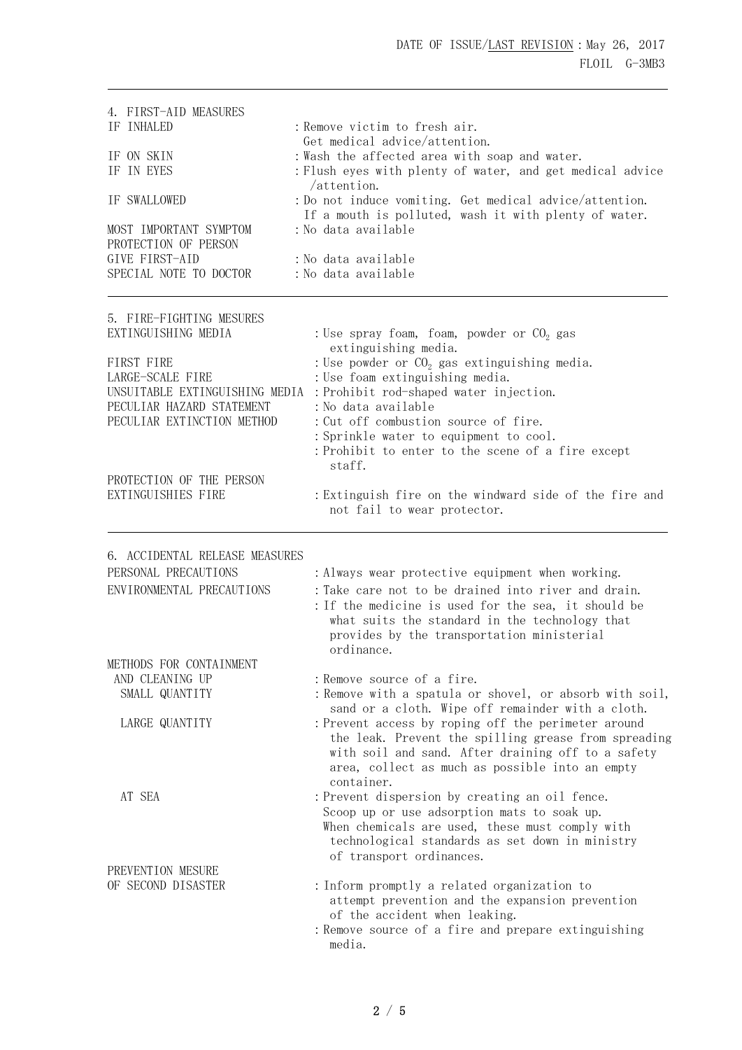| 4. FIRST-AID MEASURES                              |                                                                                                                                                                                                                                    |  |  |  |
|----------------------------------------------------|------------------------------------------------------------------------------------------------------------------------------------------------------------------------------------------------------------------------------------|--|--|--|
| IF INHALED                                         | : Remove victim to fresh air.                                                                                                                                                                                                      |  |  |  |
|                                                    | Get medical advice/attention.                                                                                                                                                                                                      |  |  |  |
| IF ON SKIN                                         | : Wash the affected area with soap and water.                                                                                                                                                                                      |  |  |  |
| IF IN EYES                                         | : Flush eyes with plenty of water, and get medical advice                                                                                                                                                                          |  |  |  |
| IF SWALLOWED                                       | /attention.<br>: Do not induce vomiting. Get medical advice/attention.                                                                                                                                                             |  |  |  |
|                                                    | If a mouth is polluted, wash it with plenty of water.                                                                                                                                                                              |  |  |  |
| MOST IMPORTANT SYMPTOM                             | : No data available                                                                                                                                                                                                                |  |  |  |
| PROTECTION OF PERSON                               |                                                                                                                                                                                                                                    |  |  |  |
| GIVE FIRST-AID                                     | : No data available                                                                                                                                                                                                                |  |  |  |
| SPECIAL NOTE TO DOCTOR                             | : No data available                                                                                                                                                                                                                |  |  |  |
| 5. FIRE-FIGHTING MESURES                           |                                                                                                                                                                                                                                    |  |  |  |
| EXTINGUISHING MEDIA                                | : Use spray foam, foam, powder or $CO2$ gas                                                                                                                                                                                        |  |  |  |
|                                                    | extinguishing media.                                                                                                                                                                                                               |  |  |  |
| FIRST FIRE                                         | : Use powder or $CO2$ gas extinguishing media.                                                                                                                                                                                     |  |  |  |
| LARGE-SCALE FIRE<br>UNSUITABLE EXTINGUISHING MEDIA | : Use foam extinguishing media.<br>: Prohibit rod-shaped water injection.                                                                                                                                                          |  |  |  |
| PECULIAR HAZARD STATEMENT                          | : No data available                                                                                                                                                                                                                |  |  |  |
| PECULIAR EXTINCTION METHOD                         | : Cut off combustion source of fire.                                                                                                                                                                                               |  |  |  |
|                                                    | : Sprinkle water to equipment to cool.                                                                                                                                                                                             |  |  |  |
|                                                    | : Prohibit to enter to the scene of a fire except<br>staff.                                                                                                                                                                        |  |  |  |
| PROTECTION OF THE PERSON                           |                                                                                                                                                                                                                                    |  |  |  |
| EXTINGUISHIES FIRE                                 | : Extinguish fire on the windward side of the fire and<br>not fail to wear protector.                                                                                                                                              |  |  |  |
| 6. ACCIDENTAL RELEASE MEASURES                     |                                                                                                                                                                                                                                    |  |  |  |
| PERSONAL PRECAUTIONS                               | : Always wear protective equipment when working.                                                                                                                                                                                   |  |  |  |
| ENVIRONMENTAL PRECAUTIONS                          | : Take care not to be drained into river and drain.                                                                                                                                                                                |  |  |  |
|                                                    | : If the medicine is used for the sea, it should be<br>what suits the standard in the technology that<br>provides by the transportation ministerial<br>ordinance.                                                                  |  |  |  |
| METHODS FOR CONTAINMENT                            |                                                                                                                                                                                                                                    |  |  |  |
| AND CLEANING UP                                    | : Remove source of a fire.                                                                                                                                                                                                         |  |  |  |
| SMALL QUANTITY                                     | : Remove with a spatula or shovel, or absorb with soil,<br>sand or a cloth. Wipe off remainder with a cloth.                                                                                                                       |  |  |  |
| LARGE QUANTITY                                     | : Prevent access by roping off the perimeter around<br>the leak. Prevent the spilling grease from spreading<br>with soil and sand. After draining off to a safety<br>area, collect as much as possible into an empty<br>container. |  |  |  |
| AT SEA                                             | : Prevent dispersion by creating an oil fence.                                                                                                                                                                                     |  |  |  |
|                                                    | Scoop up or use adsorption mats to soak up.<br>When chemicals are used, these must comply with<br>technological standards as set down in ministry<br>of transport ordinances.                                                      |  |  |  |
| PREVENTION MESURE                                  |                                                                                                                                                                                                                                    |  |  |  |
| OF SECOND DISASTER                                 | : Inform promptly a related organization to<br>attempt prevention and the expansion prevention<br>of the accident when leaking.                                                                                                    |  |  |  |
|                                                    | : Remove source of a fire and prepare extinguishing<br>media.                                                                                                                                                                      |  |  |  |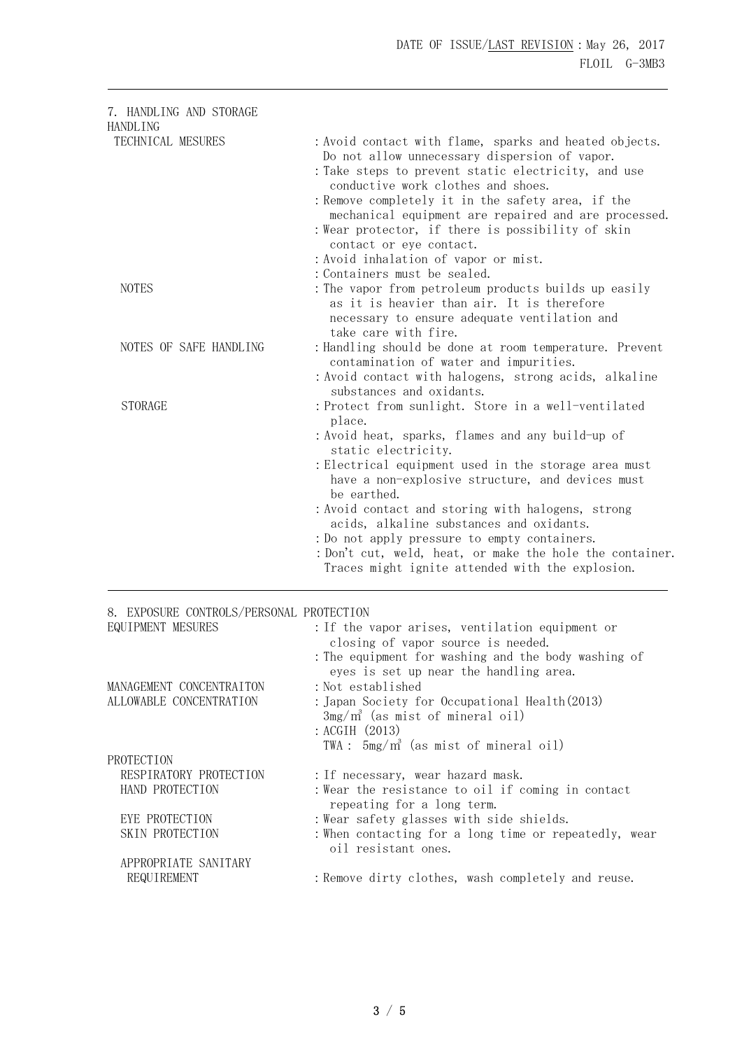| 7. HANDLING AND STORAGE                  |                                                                                                              |
|------------------------------------------|--------------------------------------------------------------------------------------------------------------|
| HANDLING<br>TECHNICAL MESURES            | : Avoid contact with flame, sparks and heated objects.                                                       |
|                                          | Do not allow unnecessary dispersion of vapor.                                                                |
|                                          | : Take steps to prevent static electricity, and use                                                          |
|                                          | conductive work clothes and shoes.                                                                           |
|                                          | : Remove completely it in the safety area, if the                                                            |
|                                          | mechanical equipment are repaired and are processed.                                                         |
|                                          | : Wear protector, if there is possibility of skin<br>contact or eye contact.                                 |
|                                          | : Avoid inhalation of vapor or mist.                                                                         |
|                                          | : Containers must be sealed.                                                                                 |
| <b>NOTES</b>                             | : The vapor from petroleum products builds up easily<br>as it is heavier than air. It is therefore           |
|                                          | necessary to ensure adequate ventilation and                                                                 |
|                                          | take care with fire.                                                                                         |
| NOTES OF SAFE HANDLING                   | : Handling should be done at room temperature. Prevent<br>contamination of water and impurities.             |
|                                          | : Avoid contact with halogens, strong acids, alkaline                                                        |
|                                          | substances and oxidants.                                                                                     |
| <b>STORAGE</b>                           | : Protect from sunlight. Store in a well-ventilated                                                          |
|                                          | place.                                                                                                       |
|                                          | : Avoid heat, sparks, flames and any build-up of                                                             |
|                                          | static electricity.                                                                                          |
|                                          | : Electrical equipment used in the storage area must                                                         |
|                                          | have a non-explosive structure, and devices must<br>be earthed.                                              |
|                                          | : Avoid contact and storing with halogens, strong                                                            |
|                                          | acids, alkaline substances and oxidants.                                                                     |
|                                          | : Do not apply pressure to empty containers.                                                                 |
|                                          | : Don't cut, weld, heat, or make the hole the container.<br>Traces might ignite attended with the explosion. |
| 8. EXPOSURE CONTROLS/PERSONAL PROTECTION |                                                                                                              |
| EQUIPMENT MESURES                        | : If the vapor arises, ventilation equipment or                                                              |
|                                          | closing of vapor source is needed.                                                                           |
|                                          | : The equipment for washing and the body washing of                                                          |
|                                          | eyes is set up near the handling area.                                                                       |
| MANAGEMENT CONCENTRAITON                 | : Not established                                                                                            |
| ALLOWABLE CONCENTRATION                  | : Japan Society for Occupational Health(2013)                                                                |
|                                          | $3mg/m^3$ (as mist of mineral oil)<br>: ACGIH (2013)                                                         |
|                                          | TWA: $5mg/m^3$ (as mist of mineral oil)                                                                      |
| PROTECTION                               |                                                                                                              |
| RESPIRATORY PROTECTION                   | : If necessary, wear hazard mask.                                                                            |
| HAND PROTECTION                          | : Wear the resistance to oil if coming in contact                                                            |
|                                          | repeating for a long term.                                                                                   |
| EYE PROTECTION                           | : Wear safety glasses with side shields.                                                                     |
| SKIN PROTECTION                          | : When contacting for a long time or repeatedly, wear                                                        |

# APPROPRIATE SANITARY

oil resistant ones.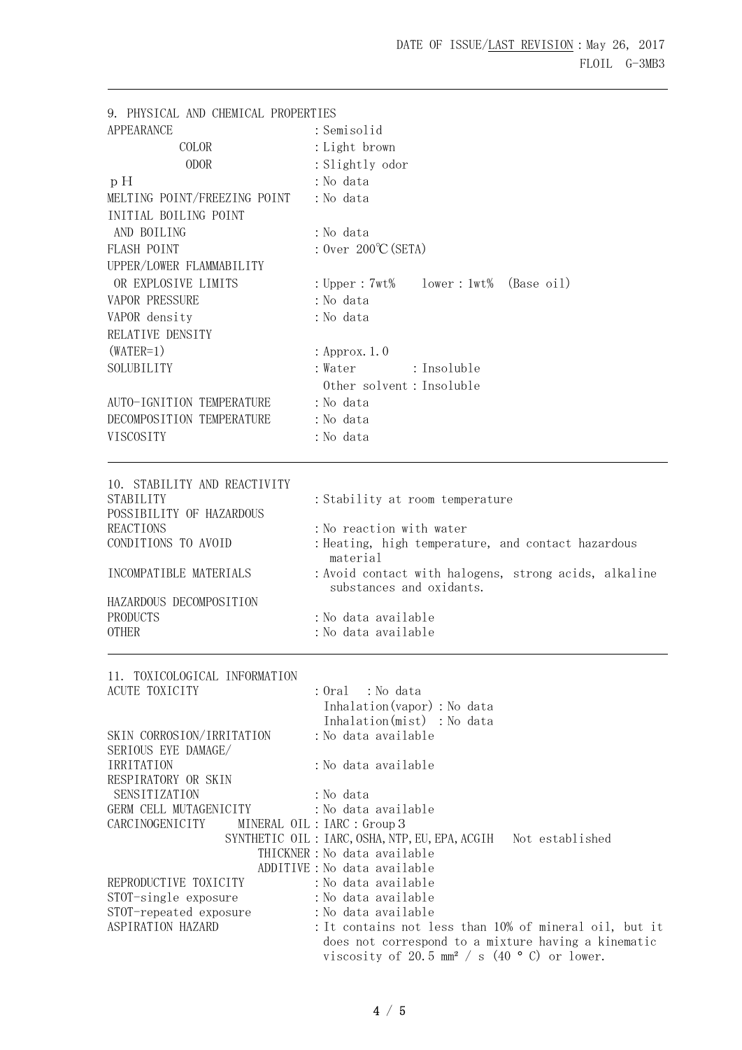9. PHYSICAL AND CHEMICAL PROPERTIES APPEARANCE :Semisolid COLOR :Light brown ODOR : Slightly odor p H : No data MELTING POINT/FREEZING POINT : No data INITIAL BOILING POINT AND BOILING : No data FLASH POINT :Over 200℃(SETA) UPPER/LOWER FLAMMABILITY OR EXPLOSIVE LIMITS :Upper:7wt% lower:1wt% (Base oil) VAPOR PRESSURE : No data VAPOR density : No data RELATIVE DENSITY  $(WATER=1)$  : Approx. 1.0 SOLUBILITY : Water : Insoluble Other solvent:Insoluble AUTO-IGNITION TEMPERATURE : No data DECOMPOSITION TEMPERATURE : No data VISCOSITY :No data 10. STABILITY AND REACTIVITY STABILITY : Stability at room temperature POSSIBILITY OF HAZARDOUS REACTIONS : No reaction with water CONDITIONS TO AVOID : Heating, high temperature, and contact hazardous material INCOMPATIBLE MATERIALS : Avoid contact with halogens, strong acids, alkaline substances and oxidants. HAZARDOUS DECOMPOSITION PRODUCTS : No data available OTHER : No data available 11. TOXICOLOGICAL INFORMATION ACUTE TOXICITY : Oral : No data Inhalation(vapor):No data Inhalation(mist) : No data SKIN CORROSION/IRRITATION : No data available SERIOUS EYE DAMAGE/ IRRITATION : No data available RESPIRATORY OR SKIN SENSITIZATION : No data GERM CELL MUTAGENICITY : No data available CARCINOGENICITY MINERAL OIL: IARC: Group 3 SYNTHETIC OIL: IARC, OSHA, NTP, EU, EPA, ACGIH Not established THICKNER: No data available ADDITIVE:No data available REPRODUCTIVE TOXICITY : No data available STOT-single exposure : No data available STOT-repeated exposure : No data available ASPIRATION HAZARD : It contains not less than 10% of mineral oil, but it does not correspond to a mixture having a kinematic viscosity of 20.5 mm<sup>2</sup> / s (40 ° C) or lower.